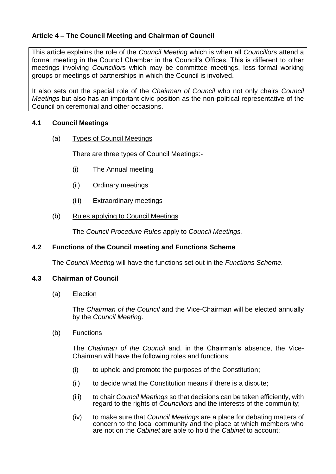# **Article 4 – The Council Meeting and Chairman of Council**

This article explains the role of the *Council Meeting* which is when all *Councillor*s attend a formal meeting in the Council Chamber in the Council's Offices. This is different to other meetings involving *Councillor*s which may be committee meetings, less formal working groups or meetings of partnerships in which the Council is involved.

It also sets out the special role of the *Chairman of Council* who not only chairs *Council Meetings* but also has an important civic position as the non-political representative of the Council on ceremonial and other occasions.

## **4.1 Council Meetings**

(a) Types of Council Meetings

There are three types of Council Meetings:-

- (i) The Annual meeting
- (ii) Ordinary meetings
- (iii) Extraordinary meetings

### (b) Rules applying to Council Meetings

The *Council Procedure Rules* apply to *Council Meetings.*

### **4.2 Functions of the Council meeting and Functions Scheme**

The *Council Meeting* will have the functions set out in the *Functions Scheme.*

#### **4.3 Chairman of Council**

(a) Election

The *Chairman of the Council* and the Vice-Chairman will be elected annually by the *Council Meeting*.

(b) Functions

The *Chairman of the Council* and, in the Chairman's absence, the Vice-Chairman will have the following roles and functions:

- (i) to uphold and promote the purposes of the Constitution;
- (ii) to decide what the Constitution means if there is a dispute;
- (iii) to chair *Council Meetings* so that decisions can be taken efficiently, with regard to the rights of *Councillors* and the interests of the community;
- (iv) to make sure that *Council Meetings* are a place for debating matters of concern to the local community and the place at which members who are not on the *Cabinet* are able to hold the *Cabinet* to account;